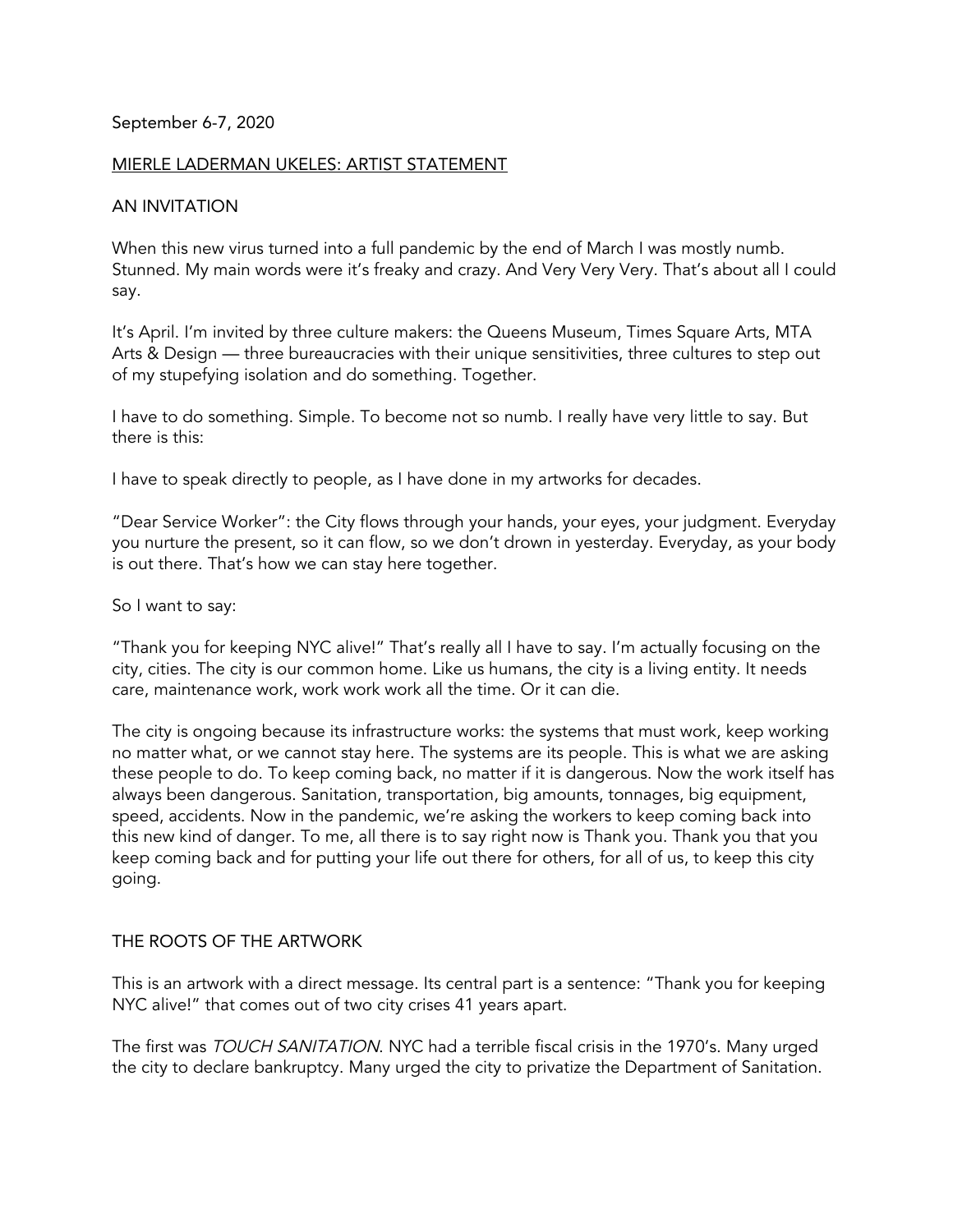### September 6-7, 2020

### MIERLE LADERMAN UKELES: ARTIST STATEMENT

### AN INVITATION

When this new virus turned into a full pandemic by the end of March I was mostly numb. Stunned. My main words were it's freaky and crazy. And Very Very Very. That's about all I could say.

It's April. I'm invited by three culture makers: the Queens Museum, Times Square Arts, MTA Arts & Design — three bureaucracies with their unique sensitivities, three cultures to step out of my stupefying isolation and do something. Together.

I have to do something. Simple. To become not so numb. I really have very little to say. But there is this:

I have to speak directly to people, as I have done in my artworks for decades.

"Dear Service Worker": the City flows through your hands, your eyes, your judgment. Everyday you nurture the present, so it can flow, so we don't drown in yesterday. Everyday, as your body is out there. That's how we can stay here together.

So I want to say:

"Thank you for keeping NYC alive!" That's really all I have to say. I'm actually focusing on the city, cities. The city is our common home. Like us humans, the city is a living entity. It needs care, maintenance work, work work work all the time. Or it can die.

The city is ongoing because its infrastructure works: the systems that must work, keep working no matter what, or we cannot stay here. The systems are its people. This is what we are asking these people to do. To keep coming back, no matter if it is dangerous. Now the work itself has always been dangerous. Sanitation, transportation, big amounts, tonnages, big equipment, speed, accidents. Now in the pandemic, we're asking the workers to keep coming back into this new kind of danger. To me, all there is to say right now is Thank you. Thank you that you keep coming back and for putting your life out there for others, for all of us, to keep this city going.

## THE ROOTS OF THE ARTWORK

This is an artwork with a direct message. Its central part is a sentence: "Thank you for keeping NYC alive!" that comes out of two city crises 41 years apart.

The first was TOUCH SANITATION. NYC had a terrible fiscal crisis in the 1970's. Many urged the city to declare bankruptcy. Many urged the city to privatize the Department of Sanitation.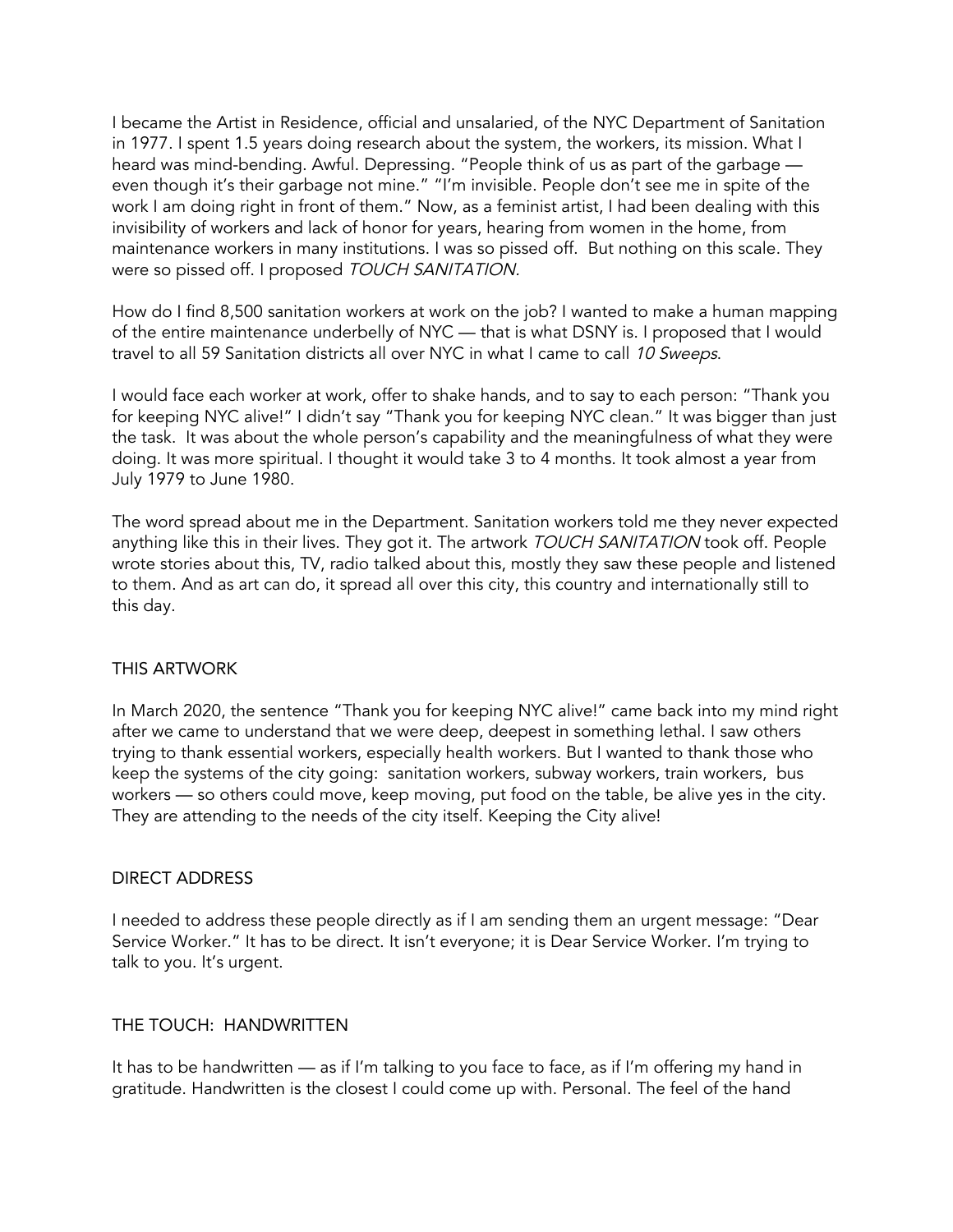I became the Artist in Residence, official and unsalaried, of the NYC Department of Sanitation in 1977. I spent 1.5 years doing research about the system, the workers, its mission. What I heard was mind-bending. Awful. Depressing. "People think of us as part of the garbage even though it's their garbage not mine." "I'm invisible. People don't see me in spite of the work I am doing right in front of them." Now, as a feminist artist, I had been dealing with this invisibility of workers and lack of honor for years, hearing from women in the home, from maintenance workers in many institutions. I was so pissed off. But nothing on this scale. They were so pissed off. I proposed TOUCH SANITATION.

How do I find 8,500 sanitation workers at work on the job? I wanted to make a human mapping of the entire maintenance underbelly of NYC — that is what DSNY is. I proposed that I would travel to all 59 Sanitation districts all over NYC in what I came to call 10 Sweeps.

I would face each worker at work, offer to shake hands, and to say to each person: "Thank you for keeping NYC alive!" I didn't say "Thank you for keeping NYC clean." It was bigger than just the task. It was about the whole person's capability and the meaningfulness of what they were doing. It was more spiritual. I thought it would take 3 to 4 months. It took almost a year from July 1979 to June 1980.

The word spread about me in the Department. Sanitation workers told me they never expected anything like this in their lives. They got it. The artwork TOUCH SANITATION took off. People wrote stories about this, TV, radio talked about this, mostly they saw these people and listened to them. And as art can do, it spread all over this city, this country and internationally still to this day.

## THIS ARTWORK

In March 2020, the sentence "Thank you for keeping NYC alive!" came back into my mind right after we came to understand that we were deep, deepest in something lethal. I saw others trying to thank essential workers, especially health workers. But I wanted to thank those who keep the systems of the city going: sanitation workers, subway workers, train workers, bus workers — so others could move, keep moving, put food on the table, be alive yes in the city. They are attending to the needs of the city itself. Keeping the City alive!

#### DIRECT ADDRESS

I needed to address these people directly as if I am sending them an urgent message: "Dear Service Worker." It has to be direct. It isn't everyone; it is Dear Service Worker. I'm trying to talk to you. It's urgent.

# THE TOUCH: HANDWRITTEN

It has to be handwritten — as if I'm talking to you face to face, as if I'm offering my hand in gratitude. Handwritten is the closest I could come up with. Personal. The feel of the hand